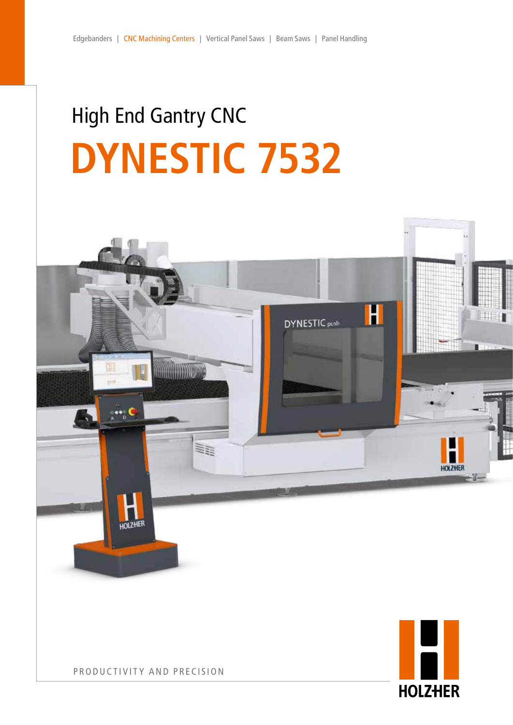# High End Gantry CNC **DYNESTIC 7532**

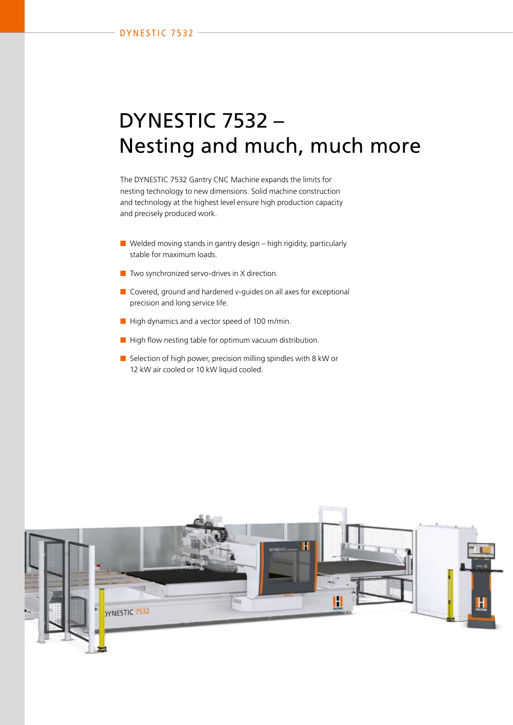### DYNESTIC 7532 – Nesting and much, much more

The DYNESTIC 7532 Gantry CNC Machine expands the limits for nesting technology to new dimensions. Solid machine construction and technology at the highest level ensure high production capacity and precisely produced work.

- $\blacksquare$  Welded moving stands in gantry design high rigidity, particularly stable for maximum loads.
- Two synchronized servo-drives in X direction.
- Covered, ground and hardened v-guides on all axes for exceptional precision and long service life.
- High dynamics and a vector speed of 100 m/min.
- High flow nesting table for optimum vacuum distribution.
- Selection of high power, precision milling spindles with 8 kW or 12 kW air cooled or 10 kW liquid cooled.

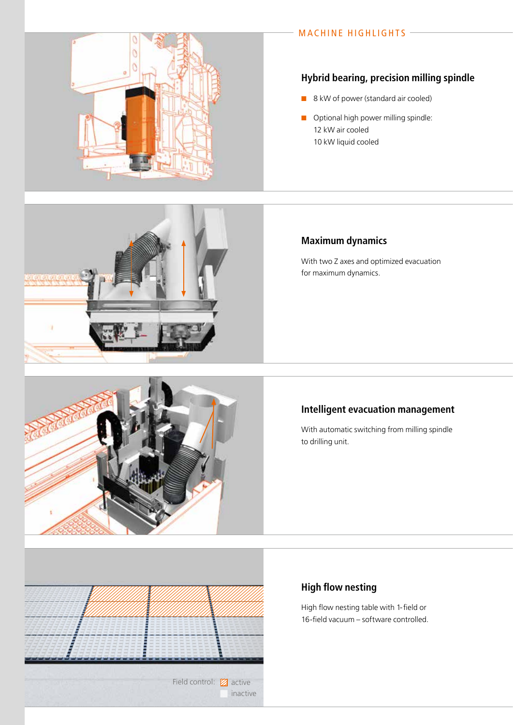#### MACHINE HIGHLIGHTS -

### **Hybrid bearing, precision milling spindle**

- 8 kW of power (standard air cooled)
- **n** Optional high power milling spindle: 12 kW air cooled 10 kW liquid cooled

### **Maximum dynamics**

With two Z axes and optimized evacuation for maximum dynamics.

#### **Intelligent evacuation management**

With automatic switching from milling spindle to drilling unit.

### **High flow nesting**

High flow nesting table with 1-field or 16-field vacuum – software controlled.







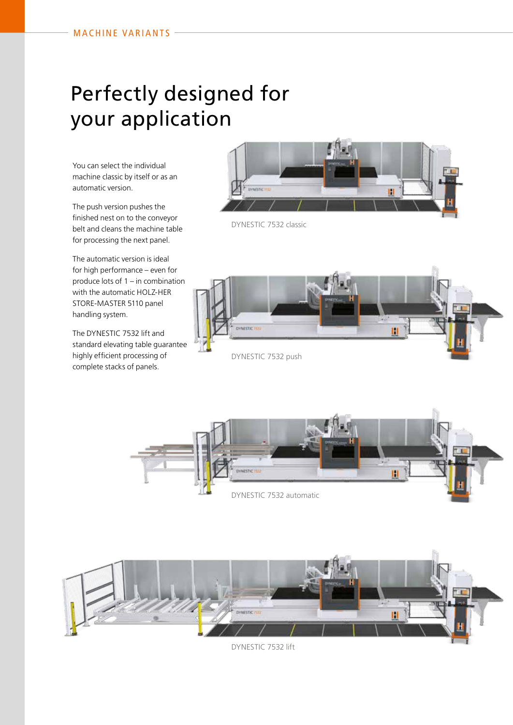# Perfectly designed for your application

You can select the individual machine classic by itself or as an automatic version.

The push version pushes the finished nest on to the conveyor belt and cleans the machine table for processing the next panel.

The automatic version is ideal for high performance – even for produce lots of 1 – in combination with the automatic HOLZ-HER STORE-MASTER 5110 panel handling system.

The DYNESTIC 7532 lift and standard elevating table guarantee highly efficient processing of complete stacks of panels.



DYNESTIC 7532 classic



DYNESTIC 7532 push



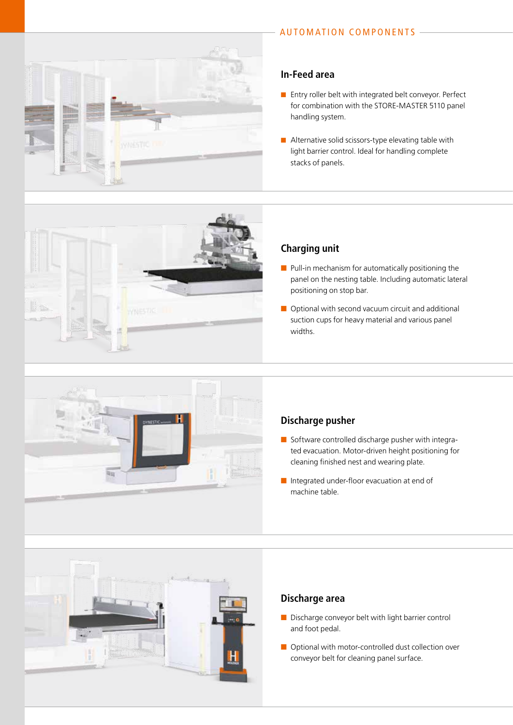

### **In-Feed area**

- Entry roller belt with integrated belt conveyor. Perfect for combination with the STORE-MASTER 5110 panel handling system.
- $\blacksquare$  Alternative solid scissors-type elevating table with light barrier control. Ideal for handling complete stacks of panels.



#### **Charging unit**

- Pull-in mechanism for automatically positioning the panel on the nesting table. Including automatic lateral positioning on stop bar.
- Optional with second vacuum circuit and additional suction cups for heavy material and various panel widths.



### **Discharge pusher**

- Software controlled discharge pusher with integrated evacuation. Motor-driven height positioning for cleaning finished nest and wearing plate.
- Integrated under-floor evacuation at end of machine table.



#### **Discharge area**

- Discharge conveyor belt with light barrier control and foot pedal.
- Optional with motor-controlled dust collection over conveyor belt for cleaning panel surface.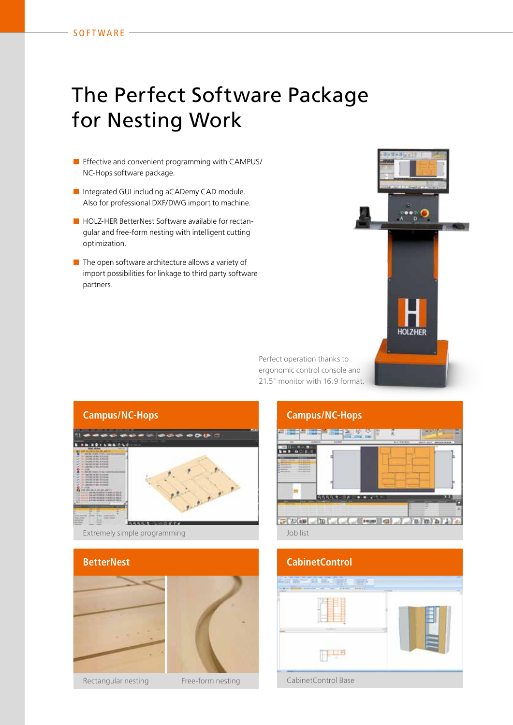## The Perfect Software Package for Nesting Work

- Effective and convenient programming with CAMPUS/ NC-Hops software package.
- Integrated GUI including aCADemy CAD module. Also for professional DXF/DWG import to machine.
- HOLZ-HER BetterNest Software available for rectangular and free-form nesting with intelligent cutting optimization.
- The open software architecture allows a variety of import possibilities for linkage to third party software partners.



Perfect operation thanks to ergonomic control console and 21.5" monitor with 16:9 format.







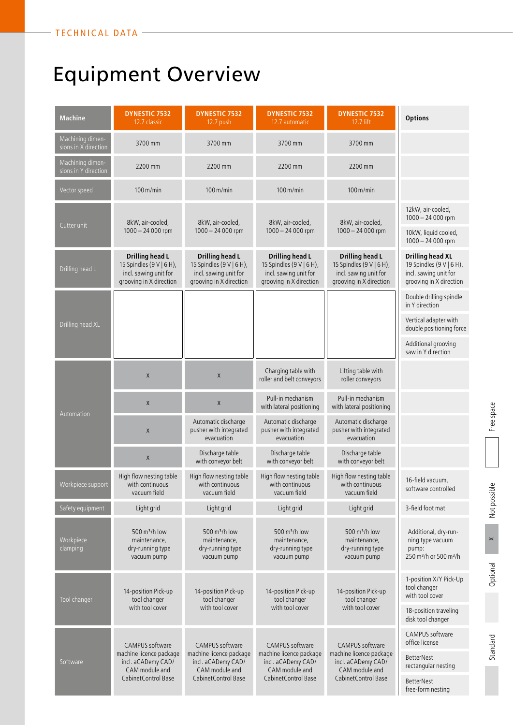# Equipment Overview

| <b>Machine</b>                           | <b>DYNESTIC 7532</b><br>12.7 classic                                                                       | <b>DYNESTIC 7532</b><br>12.7 push                                                                                 | <b>DYNESTIC 7532</b><br>12.7 automatic                                                                            | <b>DYNESTIC 7532</b><br>12.7 lift                                                                                 | <b>Options</b>                                                                                          |
|------------------------------------------|------------------------------------------------------------------------------------------------------------|-------------------------------------------------------------------------------------------------------------------|-------------------------------------------------------------------------------------------------------------------|-------------------------------------------------------------------------------------------------------------------|---------------------------------------------------------------------------------------------------------|
| Machining dimen-<br>sions in X direction | 3700 mm                                                                                                    | 3700 mm                                                                                                           | 3700 mm                                                                                                           | 3700 mm                                                                                                           |                                                                                                         |
| Machining dimen-<br>sions in Y direction | 2200 mm                                                                                                    | 2200 mm                                                                                                           | 2200 mm                                                                                                           | 2200 mm                                                                                                           |                                                                                                         |
| Vector speed                             | $100 \,\mathrm{m/min}$                                                                                     | $100 \,\mathrm{m/min}$                                                                                            | $100 \,\mathrm{m/min}$                                                                                            | $100 \,\mathrm{m/min}$                                                                                            |                                                                                                         |
| Cutter unit                              | 8kW, air-cooled,<br>$1000 - 24000$ rpm                                                                     | 8kW, air-cooled,<br>$1000 - 24000$ rpm                                                                            | 8kW, air-cooled,<br>$1000 - 24000$ rpm                                                                            | 8kW, air-cooled,<br>$1000 - 24000$ rpm                                                                            | 12kW, air-cooled,<br>$1000 - 24000$ rpm                                                                 |
|                                          |                                                                                                            |                                                                                                                   |                                                                                                                   |                                                                                                                   | 10kW, liquid cooled,<br>$1000 - 24000$ rpm                                                              |
| Drilling head L                          | <b>Drilling head L</b><br>15 Spindles (9 V   6 H),<br>incl. sawing unit for<br>grooving in X direction     | <b>Drilling head L</b><br>15 Spindles (9 V   6 H),<br>incl. sawing unit for<br>grooving in X direction            | <b>Drilling head L</b><br>15 Spindles (9 V   6 H),<br>incl. sawing unit for<br>grooving in X direction            | <b>Drilling head L</b><br>15 Spindles (9 V   6 H),<br>incl. sawing unit for<br>grooving in X direction            | <b>Drilling head XL</b><br>19 Spindles (9 V   6 H),<br>incl. sawing unit for<br>grooving in X direction |
| Drilling head XL                         |                                                                                                            |                                                                                                                   |                                                                                                                   |                                                                                                                   | Double drilling spindle<br>in Y direction                                                               |
|                                          |                                                                                                            |                                                                                                                   |                                                                                                                   |                                                                                                                   | Vertical adapter with<br>double positioning force                                                       |
|                                          |                                                                                                            |                                                                                                                   |                                                                                                                   |                                                                                                                   | Additional grooving<br>saw in Y direction                                                               |
| Automation                               | Χ                                                                                                          | $\mathsf X$                                                                                                       | Charging table with<br>roller and belt conveyors                                                                  | Lifting table with<br>roller conveyors                                                                            |                                                                                                         |
|                                          | Χ                                                                                                          | $\mathsf X$                                                                                                       | Pull-in mechanism<br>with lateral positioning                                                                     | Pull-in mechanism<br>with lateral positioning                                                                     |                                                                                                         |
|                                          | $\pmb{\mathsf{X}}$                                                                                         | Automatic discharge<br>pusher with integrated<br>evacuation                                                       | Automatic discharge<br>pusher with integrated<br>evacuation                                                       | Automatic discharge<br>pusher with integrated<br>evacuation                                                       |                                                                                                         |
|                                          | Χ                                                                                                          | Discharge table<br>with conveyor belt                                                                             | Discharge table<br>with conveyor belt                                                                             | Discharge table<br>with conveyor belt                                                                             |                                                                                                         |
| Workpiece support                        | High flow nesting table<br>with continuous<br>vacuum field                                                 | High flow nesting table<br>with continuous<br>vacuum field                                                        | High flow nesting table<br>with continuous<br>vacuum field                                                        | High flow nesting table<br>with continuous<br>vacuum field                                                        | 16-field vacuum,<br>software controlled                                                                 |
| Safety equipment                         | Light grid                                                                                                 | Light grid                                                                                                        | Light grid                                                                                                        | Light grid                                                                                                        | 3-field foot mat                                                                                        |
| Workpiece<br>clamping                    | 500 m <sup>3</sup> /h low<br>maintenance,<br>dry-running type<br>vacuum pump                               | 500 $m^3/h$ low<br>maintenance,<br>dry-running type<br>vacuum pump                                                | 500 m <sup>3</sup> /h low<br>maintenance,<br>dry-running type<br>vacuum pump                                      | 500 $m^3/h$ low<br>maintenance,<br>dry-running type<br>vacuum pump                                                | Additional, dry-run-<br>ning type vacuum<br>pump:<br>250 m <sup>3</sup> /h or 500 m <sup>3</sup> /h     |
| Tool changer                             | 14-position Pick-up<br>tool changer<br>with tool cover                                                     | 14-position Pick-up<br>tool changer<br>with tool cover                                                            | 14-position Pick-up<br>tool changer<br>with tool cover                                                            | 14-position Pick-up<br>tool changer<br>with tool cover                                                            | 1-position X/Y Pick-Up<br>tool changer<br>with tool cover                                               |
|                                          |                                                                                                            |                                                                                                                   |                                                                                                                   |                                                                                                                   | 18-position traveling<br>disk tool changer                                                              |
| Software                                 | CAMPUS software<br>machine licence package<br>incl. aCADemy CAD/<br>CAM module and<br>Cabinet Control Base | <b>CAMPUS</b> software<br>machine licence package<br>incl. aCADemy CAD/<br>CAM module and<br>Cabinet Control Base | <b>CAMPUS</b> software<br>machine licence package<br>incl. aCADemy CAD/<br>CAM module and<br>Cabinet Control Base | <b>CAMPUS</b> software<br>machine licence package<br>incl. aCADemy CAD/<br>CAM module and<br>Cabinet Control Base | CAMPUS software<br>office license                                                                       |
|                                          |                                                                                                            |                                                                                                                   |                                                                                                                   |                                                                                                                   | <b>BetterNest</b><br>rectangular nesting                                                                |
|                                          |                                                                                                            |                                                                                                                   |                                                                                                                   |                                                                                                                   | <b>BetterNest</b><br>free-form nesting                                                                  |

 $\times$